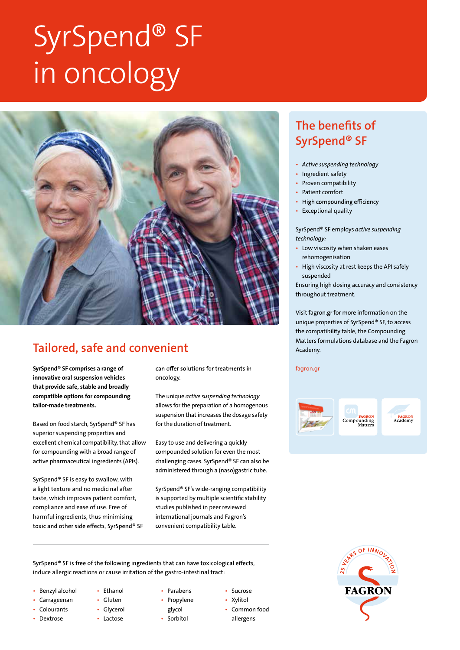# SyrSpend® SF in oncology



## Tailored, safe and convenient

innovative oral suspension vehicles that provide safe, stable and broadly compatible options for compounding tailor-made treatments.

Based on food starch, SyrSpend® SF has superior suspending properties and excellent chemical compatibility, that allow for compounding with a broad range of active pharmaceutical ingredients (APIs).

SyrSpend® SF is easy to swallow, with a light texture and no medicinal after taste, which improves patient comfort, compliance and ease of use. Free of harmful ingredients, thus minimising toxic and other side effects, SyrSpend® SF

SyrSpend<sup>®</sup> SF comprises a range of *can offer solutions* for treatments in *fagron.gr* oncology.

> The unique *active suspending technology*  allows for the preparation of a homogenous suspension that increases the dosage safety for the duration of treatment.

Easy to use and delivering a quickly compounded solution for even the most challenging cases. SyrSpend® SF can also be administered through a (naso)gastric tube.

SyrSpend® SF's wide-ranging compatibility is supported by multiple scientific stability studies published in peer reviewed international journals and Fagron's convenient compatibility table.

SyrSpend® SF is free of the following ingredients that can have toxicological effects, induce allergic reactions or cause irritation of the gastro-intestinal tract:

- Benzyl alcohol
- Carrageenan
- **Colourants**
- Dextrose
- Ethanol • Gluten
- Glycerol
- Lactose
- Parabens • Propylene
- glycol
- Sorbitol
- Sucrose
- Xylitol • Common food
- allergens

### The benefits of SyrSpend® SF

- *Active suspending technology*
- Ingredient safety
- Proven compatibility
- Patient comfort
- High compounding efficiency
- Exceptional quality

SyrSpend® SF employs *active suspending technology:*

- Low viscosity when shaken eases rehomogenisation
- High viscosity at rest keeps the API safely suspended

Ensuring high dosing accuracy and consistency throughout treatment.

Visit fagron.gr for more information on the unique properties of SyrSpend® SF, to access the compatibility table, the Compounding Matters formulations database and the Fagron Academy.